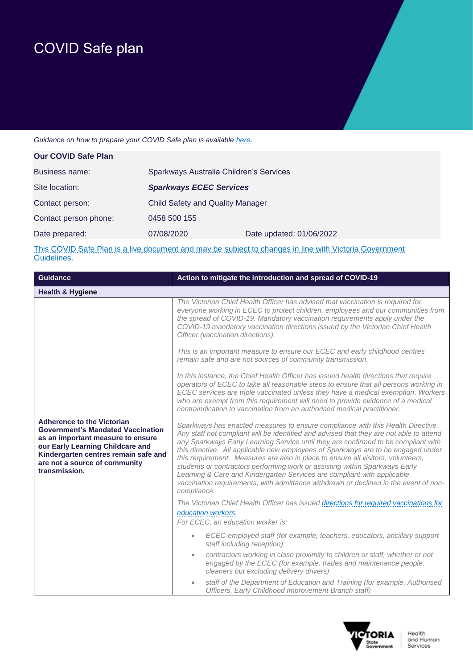## COVID Safe plan

## *Guidance on how to prepare your COVID Safe plan is available [here.](https://www.business.vic.gov.au/disputes-disasters-and-succession-planning/covid-safe-business/covid-safe-plan)*

| <b>Our COVID Safe Plan</b> |                                         |                          |
|----------------------------|-----------------------------------------|--------------------------|
| Business name:             | Sparkways Australia Children's Services |                          |
| Site location:             | <b>Sparkways ECEC Services</b>          |                          |
| Contact person:            | <b>Child Safety and Quality Manager</b> |                          |
| Contact person phone:      | 0458 500 155                            |                          |
| Date prepared:             | 07/08/2020                              | Date updated: 01/06/2022 |
|                            |                                         |                          |

This COVID Safe Plan is a live document and may be subject to changes in line with Victoria Government Guidelines.

| <b>Guidance</b>                                                                                                                                                                                                                                  | Action to mitigate the introduction and spread of COVID-19                                                                                                                                                                                                                                                                                                                                                                                                                                                                                                                                                                                                                                                 |
|--------------------------------------------------------------------------------------------------------------------------------------------------------------------------------------------------------------------------------------------------|------------------------------------------------------------------------------------------------------------------------------------------------------------------------------------------------------------------------------------------------------------------------------------------------------------------------------------------------------------------------------------------------------------------------------------------------------------------------------------------------------------------------------------------------------------------------------------------------------------------------------------------------------------------------------------------------------------|
| <b>Health &amp; Hygiene</b>                                                                                                                                                                                                                      |                                                                                                                                                                                                                                                                                                                                                                                                                                                                                                                                                                                                                                                                                                            |
|                                                                                                                                                                                                                                                  | The Victorian Chief Health Officer has advised that vaccination is required for<br>everyone working in ECEC to protect children, employees and our communities from<br>the spread of COVID-19. Mandatory vaccination requirements apply under the<br>COVID-19 mandatory vaccination directions issued by the Victorian Chief Health<br>Officer (vaccination directions).                                                                                                                                                                                                                                                                                                                                   |
|                                                                                                                                                                                                                                                  | This is an important measure to ensure our ECEC and early childhood centres<br>remain safe and are not sources of community transmission.                                                                                                                                                                                                                                                                                                                                                                                                                                                                                                                                                                  |
|                                                                                                                                                                                                                                                  | In this instance, the Chief Health Officer has issued health directions that require<br>operators of ECEC to take all reasonable steps to ensure that all persons working in<br>ECEC services are triple vaccinated unless they have a medical exemption. Workers<br>who are exempt from this requirement will need to provide evidence of a medical<br>contraindication to vaccination from an authorised medical practitioner.                                                                                                                                                                                                                                                                           |
| <b>Adherence to the Victorian</b><br><b>Government's Mandated Vaccination</b><br>as an important measure to ensure<br>our Early Learning Childcare and<br>Kindergarten centres remain safe and<br>are not a source of community<br>transmission. | Sparkways has enacted measures to ensure compliance with this Health Directive.<br>Any staff not compliant will be identified and advised that they are not able to attend<br>any Sparkways Early Learning Service until they are confirmed to be compliant with<br>this directive. All applicable new employees of Sparkways are to be engaged under<br>this requirement. Measures are also in place to ensure all visitors, volunteers,<br>students or contractors performing work or assisting within Sparkways Early<br>Learning & Care and Kindergarten Services are compliant with applicable<br>vaccination requirements, with admittance withdrawn or declined in the event of non-<br>compliance. |
|                                                                                                                                                                                                                                                  | The Victorian Chief Health Officer has issued directions for required vaccinations for                                                                                                                                                                                                                                                                                                                                                                                                                                                                                                                                                                                                                     |
|                                                                                                                                                                                                                                                  | education workers.<br>For ECEC, an education worker is:                                                                                                                                                                                                                                                                                                                                                                                                                                                                                                                                                                                                                                                    |
|                                                                                                                                                                                                                                                  | ECEC-employed staff (for example, teachers, educators, ancillary support<br>$\bullet$<br>staff including reception)                                                                                                                                                                                                                                                                                                                                                                                                                                                                                                                                                                                        |
|                                                                                                                                                                                                                                                  | contractors working in close proximity to children or staff, whether or not<br>$\bullet$<br>engaged by the ECEC (for example, trades and maintenance people,<br>cleaners but excluding delivery drivers)                                                                                                                                                                                                                                                                                                                                                                                                                                                                                                   |
|                                                                                                                                                                                                                                                  | staff of the Department of Education and Training (for example, Authorised<br>$\bullet$<br>Officers, Early Childhood Improvement Branch staff)                                                                                                                                                                                                                                                                                                                                                                                                                                                                                                                                                             |

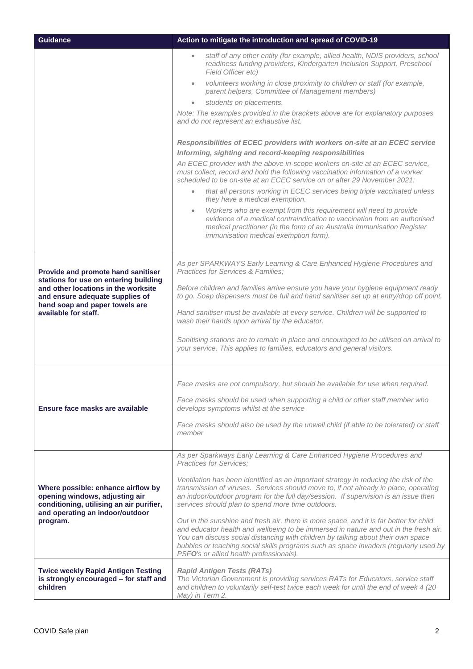| <b>Guidance</b>                                                                                                                                                                                                 | Action to mitigate the introduction and spread of COVID-19                                                                                                                                                                                                                                                                                                                                                                                                                                                                                                                                                                                                                                                                                                                                                                                                                                                                                                                                                                                                                                                                                                                                                                                                                                                                |
|-----------------------------------------------------------------------------------------------------------------------------------------------------------------------------------------------------------------|---------------------------------------------------------------------------------------------------------------------------------------------------------------------------------------------------------------------------------------------------------------------------------------------------------------------------------------------------------------------------------------------------------------------------------------------------------------------------------------------------------------------------------------------------------------------------------------------------------------------------------------------------------------------------------------------------------------------------------------------------------------------------------------------------------------------------------------------------------------------------------------------------------------------------------------------------------------------------------------------------------------------------------------------------------------------------------------------------------------------------------------------------------------------------------------------------------------------------------------------------------------------------------------------------------------------------|
|                                                                                                                                                                                                                 | staff of any other entity (for example, allied health, NDIS providers, school<br>$\bullet$<br>readiness funding providers, Kindergarten Inclusion Support, Preschool<br>Field Officer etc)<br>volunteers working in close proximity to children or staff (for example,<br>$\bullet$<br>parent helpers, Committee of Management members)<br>students on placements.<br>$\bullet$<br>Note: The examples provided in the brackets above are for explanatory purposes<br>and do not represent an exhaustive list.<br>Responsibilities of ECEC providers with workers on-site at an ECEC service<br>Informing, sighting and record-keeping responsibilities<br>An ECEC provider with the above in-scope workers on-site at an ECEC service,<br>must collect, record and hold the following vaccination information of a worker<br>scheduled to be on-site at an ECEC service on or after 29 November 2021:<br>that all persons working in ECEC services being triple vaccinated unless<br>$\bullet$<br>they have a medical exemption.<br>Workers who are exempt from this requirement will need to provide<br>$\bullet$<br>evidence of a medical contraindication to vaccination from an authorised<br>medical practitioner (in the form of an Australia Immunisation Register<br><i>immunisation medical exemption form).</i> |
| Provide and promote hand sanitiser<br>stations for use on entering building<br>and other locations in the worksite<br>and ensure adequate supplies of<br>hand soap and paper towels are<br>available for staff. | As per SPARKWAYS Early Learning & Care Enhanced Hygiene Procedures and<br>Practices for Services & Families;<br>Before children and families arrive ensure you have your hygiene equipment ready<br>to go. Soap dispensers must be full and hand sanitiser set up at entry/drop off point.<br>Hand sanitiser must be available at every service. Children will be supported to<br>wash their hands upon arrival by the educator.<br>Sanitising stations are to remain in place and encouraged to be utilised on arrival to<br>your service. This applies to families, educators and general visitors.                                                                                                                                                                                                                                                                                                                                                                                                                                                                                                                                                                                                                                                                                                                     |
| Ensure face masks are available                                                                                                                                                                                 | Face masks are not compulsory, but should be available for use when required.<br>Face masks should be used when supporting a child or other staff member who<br>develops symptoms whilst at the service<br>Face masks should also be used by the unwell child (if able to be tolerated) or staff<br>member                                                                                                                                                                                                                                                                                                                                                                                                                                                                                                                                                                                                                                                                                                                                                                                                                                                                                                                                                                                                                |
| Where possible: enhance airflow by<br>opening windows, adjusting air<br>conditioning, utilising an air purifier,<br>and operating an indoor/outdoor<br>program.                                                 | As per Sparkways Early Learning & Care Enhanced Hygiene Procedures and<br><b>Practices for Services:</b><br>Ventilation has been identified as an important strategy in reducing the risk of the<br>transmission of viruses. Services should move to, if not already in place, operating<br>an indoor/outdoor program for the full day/session. If supervision is an issue then<br>services should plan to spend more time outdoors.<br>Out in the sunshine and fresh air, there is more space, and it is far better for child<br>and educator health and wellbeing to be immersed in nature and out in the fresh air.<br>You can discuss social distancing with children by talking about their own space<br>bubbles or teaching social skills programs such as space invaders (regularly used by<br>PSFO's or allied health professionals).                                                                                                                                                                                                                                                                                                                                                                                                                                                                             |
| <b>Twice weekly Rapid Antigen Testing</b><br>is strongly encouraged - for staff and<br>children                                                                                                                 | <b>Rapid Antigen Tests (RATs)</b><br>The Victorian Government is providing services RATs for Educators, service staff<br>and children to voluntarily self-test twice each week for until the end of week 4 (20<br>May) in Term 2.                                                                                                                                                                                                                                                                                                                                                                                                                                                                                                                                                                                                                                                                                                                                                                                                                                                                                                                                                                                                                                                                                         |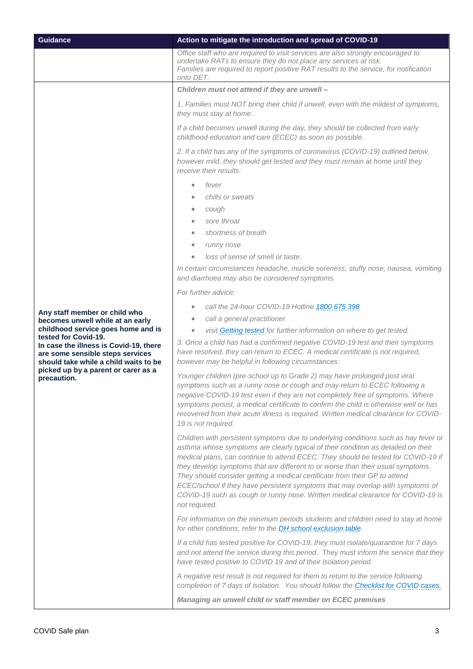| <b>Guidance</b>                                                                                                                                                                                   | Action to mitigate the introduction and spread of COVID-19                                                                                                                                                                                                                                                                                                                                                                                                                                                                                                                                                           |
|---------------------------------------------------------------------------------------------------------------------------------------------------------------------------------------------------|----------------------------------------------------------------------------------------------------------------------------------------------------------------------------------------------------------------------------------------------------------------------------------------------------------------------------------------------------------------------------------------------------------------------------------------------------------------------------------------------------------------------------------------------------------------------------------------------------------------------|
|                                                                                                                                                                                                   | Office staff who are required to visit services are also strongly encouraged to<br>undertake RATs to ensure they do not place any services at risk.<br>Families are required to report positive RAT results to the service, for notification<br>onto DET.                                                                                                                                                                                                                                                                                                                                                            |
|                                                                                                                                                                                                   | Children must not attend if they are unwell -                                                                                                                                                                                                                                                                                                                                                                                                                                                                                                                                                                        |
|                                                                                                                                                                                                   | 1. Families must NOT bring their child if unwell, even with the mildest of symptoms,<br>they must stay at home.                                                                                                                                                                                                                                                                                                                                                                                                                                                                                                      |
|                                                                                                                                                                                                   | If a child becomes unwell during the day, they should be collected from early<br>childhood education and care (ECEC) as soon as possible.                                                                                                                                                                                                                                                                                                                                                                                                                                                                            |
|                                                                                                                                                                                                   | 2. If a child has any of the symptoms of coronavirus (COVID-19) outlined below,<br>however mild, they should get tested and they must remain at home until they<br>receive their results:<br>fever                                                                                                                                                                                                                                                                                                                                                                                                                   |
|                                                                                                                                                                                                   | chills or sweats                                                                                                                                                                                                                                                                                                                                                                                                                                                                                                                                                                                                     |
|                                                                                                                                                                                                   | cough<br>$\bullet$                                                                                                                                                                                                                                                                                                                                                                                                                                                                                                                                                                                                   |
|                                                                                                                                                                                                   | sore throat<br>shortness of breath<br>۰                                                                                                                                                                                                                                                                                                                                                                                                                                                                                                                                                                              |
|                                                                                                                                                                                                   | runny nose<br>$\bullet$                                                                                                                                                                                                                                                                                                                                                                                                                                                                                                                                                                                              |
|                                                                                                                                                                                                   | loss of sense of smell or taste.                                                                                                                                                                                                                                                                                                                                                                                                                                                                                                                                                                                     |
|                                                                                                                                                                                                   | In certain circumstances headache, muscle soreness, stuffy nose, nausea, vomiting                                                                                                                                                                                                                                                                                                                                                                                                                                                                                                                                    |
|                                                                                                                                                                                                   | and diarrhoea may also be considered symptoms.                                                                                                                                                                                                                                                                                                                                                                                                                                                                                                                                                                       |
|                                                                                                                                                                                                   | For further advice:                                                                                                                                                                                                                                                                                                                                                                                                                                                                                                                                                                                                  |
|                                                                                                                                                                                                   | call the 24-hour COVID-19 Hotline 1800 675 398                                                                                                                                                                                                                                                                                                                                                                                                                                                                                                                                                                       |
| Any staff member or child who<br>becomes unwell while at an early                                                                                                                                 | call a general practitioner<br>$\bullet$                                                                                                                                                                                                                                                                                                                                                                                                                                                                                                                                                                             |
| childhood service goes home and is                                                                                                                                                                | visit Getting tested for further information on where to get tested.<br>$\bullet$                                                                                                                                                                                                                                                                                                                                                                                                                                                                                                                                    |
| tested for Covid-19.<br>In case the illness is Covid-19, there<br>are some sensible steps services<br>should take while a child waits to be<br>picked up by a parent or carer as a<br>precaution. | 3. Once a child has had a confirmed negative COVID-19 test and their symptoms<br>have resolved, they can return to ECEC. A medical certificate is not required,<br>however may be helpful in following circumstances:                                                                                                                                                                                                                                                                                                                                                                                                |
|                                                                                                                                                                                                   | Younger children (pre-school up to Grade 2) may have prolonged post viral<br>symptoms such as a runny nose or cough and may return to ECEC following a<br>negative COVID-19 test even if they are not completely free of symptoms. Where<br>symptoms persist, a medical certificate to confirm the child is otherwise well or has<br>recovered from their acute illness is required. Written medical clearance for COVID-<br>19 is not required.                                                                                                                                                                     |
|                                                                                                                                                                                                   | Children with persistent symptoms due to underlying conditions such as hay fever or<br>asthma whose symptoms are clearly typical of their condition as detailed on their<br>medical plans, can continue to attend ECEC. They should be tested for COVID-19 if<br>they develop symptoms that are different to or worse than their usual symptoms.<br>They should consider getting a medical certificate from their GP to attend<br>ECEC/school if they have persistent symptoms that may overlap with symptoms of<br>COVID-19 such as cough or runny nose. Written medical clearance for COVID-19 is<br>not required. |
|                                                                                                                                                                                                   | For information on the minimum periods students and children need to stay at home<br>for other conditions, refer to the DH school exclusion table.                                                                                                                                                                                                                                                                                                                                                                                                                                                                   |
|                                                                                                                                                                                                   | If a child has tested positive for COVID-19, they must isolate/quarantine for 7 days<br>and not attend the service during this period. They must inform the service that they<br>have tested positive to COVID 19 and of their isolation period.                                                                                                                                                                                                                                                                                                                                                                     |
|                                                                                                                                                                                                   | A negative test result is not required for them to return to the service following<br>completion of 7 days of isolation. You should follow the Checklist for COVID cases.                                                                                                                                                                                                                                                                                                                                                                                                                                            |
|                                                                                                                                                                                                   | Managing an unwell child or staff member on ECEC premises                                                                                                                                                                                                                                                                                                                                                                                                                                                                                                                                                            |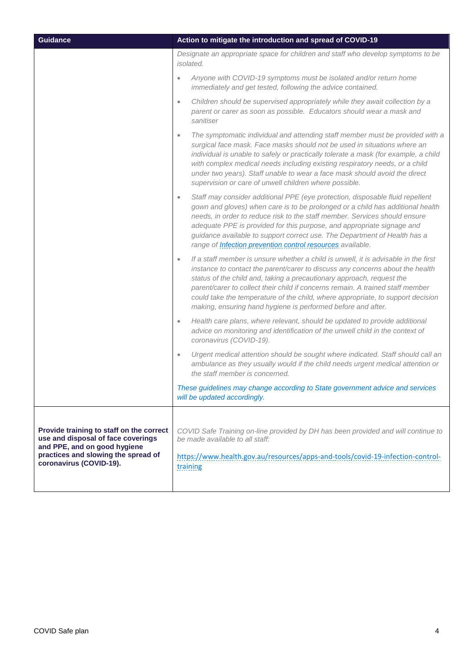| <b>Guidance</b>                                                                                                                                                                  | Action to mitigate the introduction and spread of COVID-19                                                                                                                                                                                                                                                                                                                                                                                                                                      |
|----------------------------------------------------------------------------------------------------------------------------------------------------------------------------------|-------------------------------------------------------------------------------------------------------------------------------------------------------------------------------------------------------------------------------------------------------------------------------------------------------------------------------------------------------------------------------------------------------------------------------------------------------------------------------------------------|
|                                                                                                                                                                                  | Designate an appropriate space for children and staff who develop symptoms to be<br><i>isolated.</i>                                                                                                                                                                                                                                                                                                                                                                                            |
|                                                                                                                                                                                  | Anyone with COVID-19 symptoms must be isolated and/or return home<br>$\bullet$<br>immediately and get tested, following the advice contained.                                                                                                                                                                                                                                                                                                                                                   |
|                                                                                                                                                                                  | Children should be supervised appropriately while they await collection by a<br>$\bullet$<br>parent or carer as soon as possible. Educators should wear a mask and<br>sanitiser                                                                                                                                                                                                                                                                                                                 |
|                                                                                                                                                                                  | The symptomatic individual and attending staff member must be provided with a<br>$\bullet$<br>surgical face mask. Face masks should not be used in situations where an<br>individual is unable to safely or practically tolerate a mask (for example, a child<br>with complex medical needs including existing respiratory needs, or a child<br>under two years). Staff unable to wear a face mask should avoid the direct<br>supervision or care of unwell children where possible.            |
|                                                                                                                                                                                  | Staff may consider additional PPE (eye protection, disposable fluid repellent<br>$\bullet$<br>gown and gloves) when care is to be prolonged or a child has additional health<br>needs, in order to reduce risk to the staff member. Services should ensure<br>adequate PPE is provided for this purpose, and appropriate signage and<br>guidance available to support correct use. The Department of Health has a<br>range of <b>Infection prevention control resources</b> available.          |
|                                                                                                                                                                                  | If a staff member is unsure whether a child is unwell, it is advisable in the first<br>$\bullet$<br>instance to contact the parent/carer to discuss any concerns about the health<br>status of the child and, taking a precautionary approach, request the<br>parent/carer to collect their child if concerns remain. A trained staff member<br>could take the temperature of the child, where appropriate, to support decision<br>making, ensuring hand hygiene is performed before and after. |
|                                                                                                                                                                                  | Health care plans, where relevant, should be updated to provide additional<br>$\bullet$<br>advice on monitoring and identification of the unwell child in the context of<br>coronavirus (COVID-19).                                                                                                                                                                                                                                                                                             |
|                                                                                                                                                                                  | Urgent medical attention should be sought where indicated. Staff should call an<br>$\bullet$<br>ambulance as they usually would if the child needs urgent medical attention or<br>the staff member is concerned.                                                                                                                                                                                                                                                                                |
|                                                                                                                                                                                  | These guidelines may change according to State government advice and services<br>will be updated accordingly.                                                                                                                                                                                                                                                                                                                                                                                   |
| Provide training to staff on the correct<br>use and disposal of face coverings<br>and PPE, and on good hygiene<br>practices and slowing the spread of<br>coronavirus (COVID-19). | COVID Safe Training on-line provided by DH has been provided and will continue to<br>be made available to all staff:<br>https://www.health.gov.au/resources/apps-and-tools/covid-19-infection-control-<br>training                                                                                                                                                                                                                                                                              |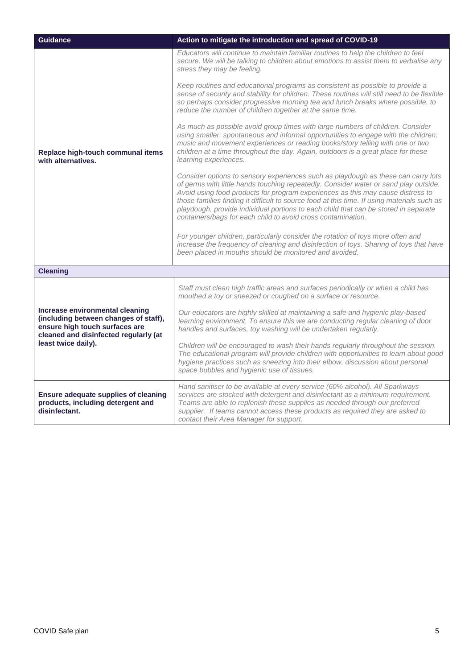| <b>Guidance</b>                                                                                                                                                            | Action to mitigate the introduction and spread of COVID-19                                                                                                                                                                                                                                                                                                                                                                                                                                                         |
|----------------------------------------------------------------------------------------------------------------------------------------------------------------------------|--------------------------------------------------------------------------------------------------------------------------------------------------------------------------------------------------------------------------------------------------------------------------------------------------------------------------------------------------------------------------------------------------------------------------------------------------------------------------------------------------------------------|
| Replace high-touch communal items<br>with alternatives.                                                                                                                    | Educators will continue to maintain familiar routines to help the children to feel<br>secure. We will be talking to children about emotions to assist them to verbalise any<br>stress they may be feeling.                                                                                                                                                                                                                                                                                                         |
|                                                                                                                                                                            | Keep routines and educational programs as consistent as possible to provide a<br>sense of security and stability for children. These routines will still need to be flexible<br>so perhaps consider progressive morning tea and lunch breaks where possible, to<br>reduce the number of children together at the same time.                                                                                                                                                                                        |
|                                                                                                                                                                            | As much as possible avoid group times with large numbers of children. Consider<br>using smaller, spontaneous and informal opportunities to engage with the children;<br>music and movement experiences or reading books/story telling with one or two<br>children at a time throughout the day. Again, outdoors is a great place for these<br>learning experiences.                                                                                                                                                |
|                                                                                                                                                                            | Consider options to sensory experiences such as playdough as these can carry lots<br>of germs with little hands touching repeatedly. Consider water or sand play outside.<br>Avoid using food products for program experiences as this may cause distress to<br>those families finding it difficult to source food at this time. If using materials such as<br>playdough, provide individual portions to each child that can be stored in separate<br>containers/bags for each child to avoid cross contamination. |
|                                                                                                                                                                            | For younger children, particularly consider the rotation of toys more often and<br>increase the frequency of cleaning and disinfection of toys. Sharing of toys that have<br>been placed in mouths should be monitored and avoided.                                                                                                                                                                                                                                                                                |
| <b>Cleaning</b>                                                                                                                                                            |                                                                                                                                                                                                                                                                                                                                                                                                                                                                                                                    |
|                                                                                                                                                                            | Staff must clean high traffic areas and surfaces periodically or when a child has<br>mouthed a toy or sneezed or coughed on a surface or resource.                                                                                                                                                                                                                                                                                                                                                                 |
| Increase environmental cleaning<br>(including between changes of staff),<br>ensure high touch surfaces are<br>cleaned and disinfected regularly (at<br>least twice daily). | Our educators are highly skilled at maintaining a safe and hygienic play-based<br>learning environment. To ensure this we are conducting regular cleaning of door<br>handles and surfaces, toy washing will be undertaken regularly.                                                                                                                                                                                                                                                                               |
|                                                                                                                                                                            | Children will be encouraged to wash their hands regularly throughout the session.<br>The educational program will provide children with opportunities to learn about good<br>hygiene practices such as sneezing into their elbow, discussion about personal<br>space bubbles and hygienic use of tissues.                                                                                                                                                                                                          |
| Ensure adequate supplies of cleaning<br>products, including detergent and<br>disinfectant.                                                                                 | Hand sanitiser to be available at every service (60% alcohol). All Sparkways<br>services are stocked with detergent and disinfectant as a minimum requirement.<br>Teams are able to replenish these supplies as needed through our preferred<br>supplier. If teams cannot access these products as required they are asked to<br>contact their Area Manager for support.                                                                                                                                           |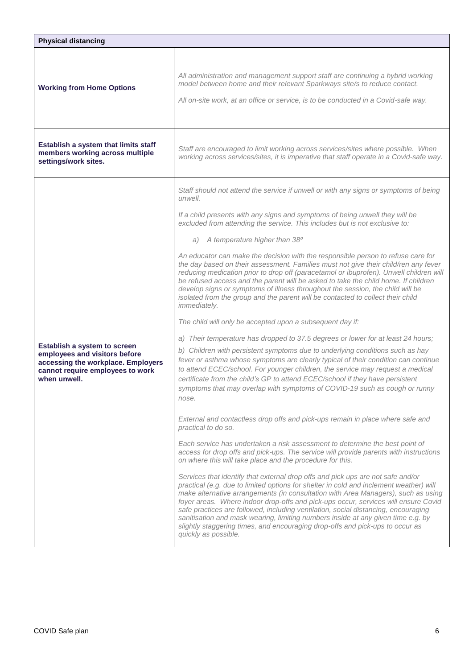| All administration and management support staff are continuing a hybrid working<br>model between home and their relevant Sparkways site/s to reduce contact.<br><b>Working from Home Options</b><br>All on-site work, at an office or service, is to be conducted in a Covid-safe way.<br>Establish a system that limits staff<br>Staff are encouraged to limit working across services/sites where possible. When<br>members working across multiple<br>working across services/sites, it is imperative that staff operate in a Covid-safe way.<br>settings/work sites.<br>Staff should not attend the service if unwell or with any signs or symptoms of being<br>unwell.<br>If a child presents with any signs and symptoms of being unwell they will be<br>excluded from attending the service. This includes but is not exclusive to:<br>a) A temperature higher than 38°<br>An educator can make the decision with the responsible person to refuse care for<br>the day based on their assessment. Families must not give their child/ren any fever<br>reducing medication prior to drop off (paracetamol or ibuprofen). Unwell children will<br>be refused access and the parent will be asked to take the child home. If children<br>develop signs or symptoms of illness throughout the session, the child will be<br>isolated from the group and the parent will be contacted to collect their child<br>immediately.<br>The child will only be accepted upon a subsequent day if:<br>a) Their temperature has dropped to 37.5 degrees or lower for at least 24 hours;<br>Establish a system to screen<br>b) Children with persistent symptoms due to underlying conditions such as hay<br>employees and visitors before<br>fever or asthma whose symptoms are clearly typical of their condition can continue<br>accessing the workplace. Employers<br>to attend ECEC/school. For younger children, the service may request a medical<br>cannot require employees to work<br>when unwell.<br>certificate from the child's GP to attend ECEC/school if they have persistent<br>symptoms that may overlap with symptoms of COVID-19 such as cough or runny<br>nose.<br>External and contactless drop offs and pick-ups remain in place where safe and<br>practical to do so.<br>Each service has undertaken a risk assessment to determine the best point of<br>access for drop offs and pick-ups. The service will provide parents with instructions<br>on where this will take place and the procedure for this.<br>Services that identify that external drop offs and pick ups are not safe and/or<br>practical (e.g. due to limited options for shelter in cold and inclement weather) will<br>make alternative arrangements (in consultation with Area Managers), such as using | <b>Physical distancing</b> |                                                                                    |
|----------------------------------------------------------------------------------------------------------------------------------------------------------------------------------------------------------------------------------------------------------------------------------------------------------------------------------------------------------------------------------------------------------------------------------------------------------------------------------------------------------------------------------------------------------------------------------------------------------------------------------------------------------------------------------------------------------------------------------------------------------------------------------------------------------------------------------------------------------------------------------------------------------------------------------------------------------------------------------------------------------------------------------------------------------------------------------------------------------------------------------------------------------------------------------------------------------------------------------------------------------------------------------------------------------------------------------------------------------------------------------------------------------------------------------------------------------------------------------------------------------------------------------------------------------------------------------------------------------------------------------------------------------------------------------------------------------------------------------------------------------------------------------------------------------------------------------------------------------------------------------------------------------------------------------------------------------------------------------------------------------------------------------------------------------------------------------------------------------------------------------------------------------------------------------------------------------------------------------------------------------------------------------------------------------------------------------------------------------------------------------------------------------------------------------------------------------------------------------------------------------------------------------------------------------------------------------------------------------------------------------------------------------------------------------------------------------------------------------------------------------------------------------------------|----------------------------|------------------------------------------------------------------------------------|
|                                                                                                                                                                                                                                                                                                                                                                                                                                                                                                                                                                                                                                                                                                                                                                                                                                                                                                                                                                                                                                                                                                                                                                                                                                                                                                                                                                                                                                                                                                                                                                                                                                                                                                                                                                                                                                                                                                                                                                                                                                                                                                                                                                                                                                                                                                                                                                                                                                                                                                                                                                                                                                                                                                                                                                                              |                            |                                                                                    |
|                                                                                                                                                                                                                                                                                                                                                                                                                                                                                                                                                                                                                                                                                                                                                                                                                                                                                                                                                                                                                                                                                                                                                                                                                                                                                                                                                                                                                                                                                                                                                                                                                                                                                                                                                                                                                                                                                                                                                                                                                                                                                                                                                                                                                                                                                                                                                                                                                                                                                                                                                                                                                                                                                                                                                                                              |                            |                                                                                    |
| safe practices are followed, including ventilation, social distancing, encouraging                                                                                                                                                                                                                                                                                                                                                                                                                                                                                                                                                                                                                                                                                                                                                                                                                                                                                                                                                                                                                                                                                                                                                                                                                                                                                                                                                                                                                                                                                                                                                                                                                                                                                                                                                                                                                                                                                                                                                                                                                                                                                                                                                                                                                                                                                                                                                                                                                                                                                                                                                                                                                                                                                                           |                            | foyer areas. Where indoor drop-offs and pick-ups occur, services will ensure Covid |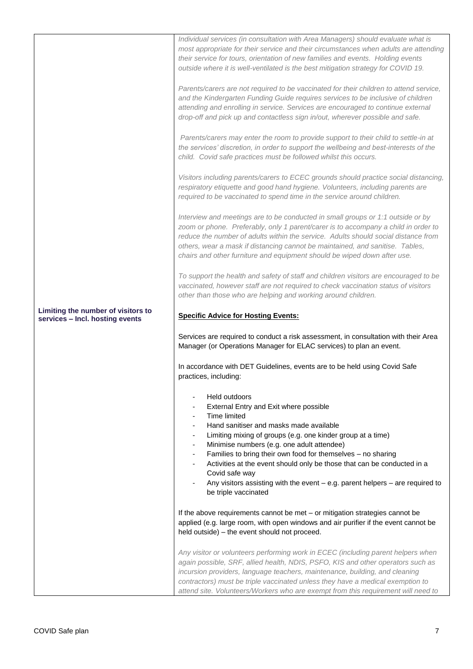|                                                                       | Individual services (in consultation with Area Managers) should evaluate what is<br>most appropriate for their service and their circumstances when adults are attending<br>their service for tours, orientation of new families and events. Holding events<br>outside where it is well-ventilated is the best mitigation strategy for COVID 19.                                                                          |
|-----------------------------------------------------------------------|---------------------------------------------------------------------------------------------------------------------------------------------------------------------------------------------------------------------------------------------------------------------------------------------------------------------------------------------------------------------------------------------------------------------------|
|                                                                       | Parents/carers are not required to be vaccinated for their children to attend service,<br>and the Kindergarten Funding Guide requires services to be inclusive of children<br>attending and enrolling in service. Services are encouraged to continue external<br>drop-off and pick up and contactless sign in/out, wherever possible and safe.                                                                           |
|                                                                       | Parents/carers may enter the room to provide support to their child to settle-in at<br>the services' discretion, in order to support the wellbeing and best-interests of the<br>child. Covid safe practices must be followed whilst this occurs.                                                                                                                                                                          |
|                                                                       | Visitors including parents/carers to ECEC grounds should practice social distancing,<br>respiratory etiquette and good hand hygiene. Volunteers, including parents are<br>required to be vaccinated to spend time in the service around children.                                                                                                                                                                         |
|                                                                       | Interview and meetings are to be conducted in small groups or 1:1 outside or by<br>zoom or phone. Preferably, only 1 parent/carer is to accompany a child in order to<br>reduce the number of adults within the service. Adults should social distance from<br>others, wear a mask if distancing cannot be maintained, and sanitise. Tables,<br>chairs and other furniture and equipment should be wiped down after use.  |
|                                                                       | To support the health and safety of staff and children visitors are encouraged to be<br>vaccinated, however staff are not required to check vaccination status of visitors<br>other than those who are helping and working around children.                                                                                                                                                                               |
| Limiting the number of visitors to<br>services - Incl. hosting events | <b>Specific Advice for Hosting Events:</b>                                                                                                                                                                                                                                                                                                                                                                                |
|                                                                       | Services are required to conduct a risk assessment, in consultation with their Area<br>Manager (or Operations Manager for ELAC services) to plan an event.                                                                                                                                                                                                                                                                |
|                                                                       | In accordance with DET Guidelines, events are to be held using Covid Safe<br>practices, including:                                                                                                                                                                                                                                                                                                                        |
|                                                                       | Held outdoors<br>External Entry and Exit where possible<br>Time limited<br>$\overline{\phantom{0}}$                                                                                                                                                                                                                                                                                                                       |
|                                                                       | Hand sanitiser and masks made available<br>۰.<br>Limiting mixing of groups (e.g. one kinder group at a time)<br>۰.                                                                                                                                                                                                                                                                                                        |
|                                                                       | Minimise numbers (e.g. one adult attendee)<br>۰<br>Families to bring their own food for themselves - no sharing<br>-                                                                                                                                                                                                                                                                                                      |
|                                                                       | Activities at the event should only be those that can be conducted in a<br>$\overline{\phantom{0}}$<br>Covid safe way                                                                                                                                                                                                                                                                                                     |
|                                                                       | Any visitors assisting with the event $-$ e.g. parent helpers $-$ are required to<br>be triple vaccinated                                                                                                                                                                                                                                                                                                                 |
|                                                                       | If the above requirements cannot be met - or mitigation strategies cannot be<br>applied (e.g. large room, with open windows and air purifier if the event cannot be<br>held outside) - the event should not proceed.                                                                                                                                                                                                      |
|                                                                       | Any visitor or volunteers performing work in ECEC (including parent helpers when<br>again possible, SRF, allied health, NDIS, PSFO, KIS and other operators such as<br>incursion providers, language teachers, maintenance, building, and cleaning<br>contractors) must be triple vaccinated unless they have a medical exemption to<br>attend site. Volunteers/Workers who are exempt from this requirement will need to |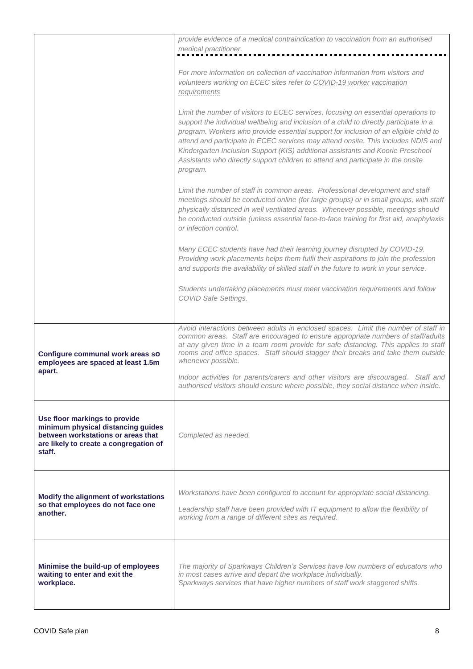|                                                                                                                                                               | provide evidence of a medical contraindication to vaccination from an authorised<br>medical practitioner.                                                                                                                                                                                                                                                                                                                                                                                                                                    |
|---------------------------------------------------------------------------------------------------------------------------------------------------------------|----------------------------------------------------------------------------------------------------------------------------------------------------------------------------------------------------------------------------------------------------------------------------------------------------------------------------------------------------------------------------------------------------------------------------------------------------------------------------------------------------------------------------------------------|
|                                                                                                                                                               | For more information on collection of vaccination information from visitors and<br>volunteers working on ECEC sites refer to COVID-19 worker vaccination<br>requirements                                                                                                                                                                                                                                                                                                                                                                     |
|                                                                                                                                                               | Limit the number of visitors to ECEC services, focusing on essential operations to<br>support the individual wellbeing and inclusion of a child to directly participate in a<br>program. Workers who provide essential support for inclusion of an eligible child to<br>attend and participate in ECEC services may attend onsite. This includes NDIS and<br>Kindergarten Inclusion Support (KIS) additional assistants and Koorie Preschool<br>Assistants who directly support children to attend and participate in the onsite<br>program. |
|                                                                                                                                                               | Limit the number of staff in common areas. Professional development and staff<br>meetings should be conducted online (for large groups) or in small groups, with staff<br>physically distanced in well ventilated areas. Whenever possible, meetings should<br>be conducted outside (unless essential face-to-face training for first aid, anaphylaxis<br>or infection control.                                                                                                                                                              |
|                                                                                                                                                               | Many ECEC students have had their learning journey disrupted by COVID-19.<br>Providing work placements helps them fulfil their aspirations to join the profession<br>and supports the availability of skilled staff in the future to work in your service.                                                                                                                                                                                                                                                                                   |
|                                                                                                                                                               | Students undertaking placements must meet vaccination requirements and follow<br>COVID Safe Settings.                                                                                                                                                                                                                                                                                                                                                                                                                                        |
| Configure communal work areas so<br>employees are spaced at least 1.5m                                                                                        | Avoid interactions between adults in enclosed spaces. Limit the number of staff in<br>common areas. Staff are encouraged to ensure appropriate numbers of staff/adults<br>at any given time in a team room provide for safe distancing. This applies to staff<br>rooms and office spaces. Staff should stagger their breaks and take them outside<br>whenever possible.                                                                                                                                                                      |
| apart.                                                                                                                                                        | Indoor activities for parents/carers and other visitors are discouraged. Staff and<br>authorised visitors should ensure where possible, they social distance when inside.                                                                                                                                                                                                                                                                                                                                                                    |
| Use floor markings to provide<br>minimum physical distancing guides<br>between workstations or areas that<br>are likely to create a congregation of<br>staff. | Completed as needed.                                                                                                                                                                                                                                                                                                                                                                                                                                                                                                                         |
| Modify the alignment of workstations<br>so that employees do not face one<br>another.                                                                         | Workstations have been configured to account for appropriate social distancing.<br>Leadership staff have been provided with IT equipment to allow the flexibility of<br>working from a range of different sites as required.                                                                                                                                                                                                                                                                                                                 |
| Minimise the build-up of employees<br>waiting to enter and exit the<br>workplace.                                                                             | The majority of Sparkways Children's Services have low numbers of educators who<br>in most cases arrive and depart the workplace individually.<br>Sparkways services that have higher numbers of staff work staggered shifts.                                                                                                                                                                                                                                                                                                                |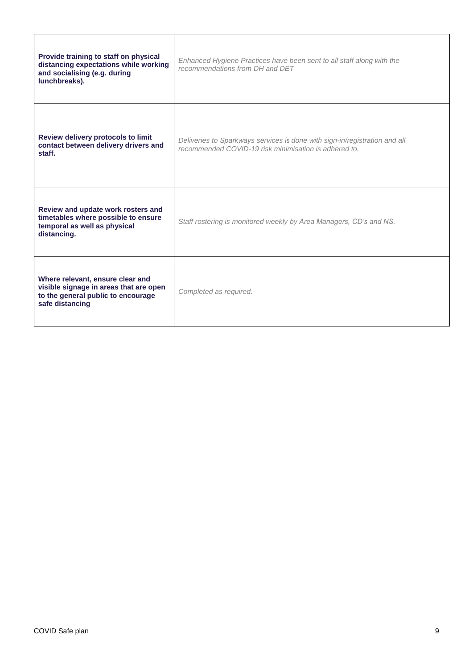| Provide training to staff on physical<br>distancing expectations while working<br>and socialising (e.g. during<br>lunchbreaks).     | Enhanced Hygiene Practices have been sent to all staff along with the<br>recommendations from DH and DET                            |
|-------------------------------------------------------------------------------------------------------------------------------------|-------------------------------------------------------------------------------------------------------------------------------------|
| Review delivery protocols to limit<br>contact between delivery drivers and<br>staff.                                                | Deliveries to Sparkways services is done with sign-in/registration and all<br>recommended COVID-19 risk minimisation is adhered to. |
| Review and update work rosters and<br>timetables where possible to ensure<br>temporal as well as physical<br>distancing.            | Staff rostering is monitored weekly by Area Managers, CD's and NS.                                                                  |
| Where relevant, ensure clear and<br>visible signage in areas that are open<br>to the general public to encourage<br>safe distancing | Completed as required.                                                                                                              |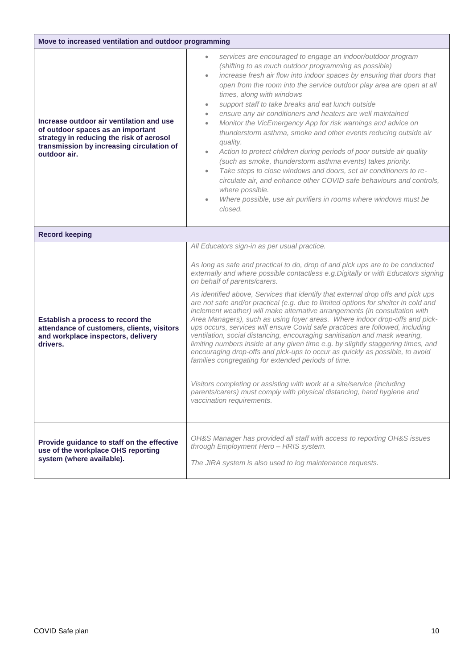| Move to increased ventilation and outdoor programming                                                                                                                                  |                                                                                                                                                                                                                                                                                                                                                                                                                                                                                                                                                                                                                                                                                                                                                                                                                                                                                                                                                                                                                                                                                                                                                                         |  |
|----------------------------------------------------------------------------------------------------------------------------------------------------------------------------------------|-------------------------------------------------------------------------------------------------------------------------------------------------------------------------------------------------------------------------------------------------------------------------------------------------------------------------------------------------------------------------------------------------------------------------------------------------------------------------------------------------------------------------------------------------------------------------------------------------------------------------------------------------------------------------------------------------------------------------------------------------------------------------------------------------------------------------------------------------------------------------------------------------------------------------------------------------------------------------------------------------------------------------------------------------------------------------------------------------------------------------------------------------------------------------|--|
| Increase outdoor air ventilation and use<br>of outdoor spaces as an important<br>strategy in reducing the risk of aerosol<br>transmission by increasing circulation of<br>outdoor air. | services are encouraged to engage an indoor/outdoor program<br>(shifting to as much outdoor programming as possible)<br>increase fresh air flow into indoor spaces by ensuring that doors that<br>open from the room into the service outdoor play area are open at all<br>times, along with windows<br>support staff to take breaks and eat lunch outside<br>$\bullet$<br>ensure any air conditioners and heaters are well maintained<br>$\bullet$<br>Monitor the VicEmergency App for risk warnings and advice on<br>$\bullet$<br>thunderstorm asthma, smoke and other events reducing outside air<br>quality.<br>Action to protect children during periods of poor outside air quality<br>$\bullet$<br>(such as smoke, thunderstorm asthma events) takes priority.<br>Take steps to close windows and doors, set air conditioners to re-<br>circulate air, and enhance other COVID safe behaviours and controls,<br>where possible.<br>Where possible, use air purifiers in rooms where windows must be<br>closed.                                                                                                                                                   |  |
| <b>Record keeping</b>                                                                                                                                                                  |                                                                                                                                                                                                                                                                                                                                                                                                                                                                                                                                                                                                                                                                                                                                                                                                                                                                                                                                                                                                                                                                                                                                                                         |  |
| Establish a process to record the<br>attendance of customers, clients, visitors<br>and workplace inspectors, delivery<br>drivers.                                                      | All Educators sign-in as per usual practice.<br>As long as safe and practical to do, drop of and pick ups are to be conducted<br>externally and where possible contactless e.g. Digitally or with Educators signing<br>on behalf of parents/carers.<br>As identified above, Services that identify that external drop offs and pick ups<br>are not safe and/or practical (e.g. due to limited options for shelter in cold and<br>inclement weather) will make alternative arrangements (in consultation with<br>Area Managers), such as using foyer areas. Where indoor drop-offs and pick-<br>ups occurs, services will ensure Covid safe practices are followed, including<br>ventilation, social distancing, encouraging sanitisation and mask wearing,<br>limiting numbers inside at any given time e.g. by slightly staggering times, and<br>encouraging drop-offs and pick-ups to occur as quickly as possible, to avoid<br>families congregating for extended periods of time.<br>Visitors completing or assisting with work at a site/service (including<br>parents/carers) must comply with physical distancing, hand hygiene and<br>vaccination requirements. |  |
| Provide guidance to staff on the effective<br>use of the workplace OHS reporting<br>system (where available).                                                                          | OH&S Manager has provided all staff with access to reporting OH&S issues<br>through Employment Hero - HRIS system.<br>The JIRA system is also used to log maintenance requests.                                                                                                                                                                                                                                                                                                                                                                                                                                                                                                                                                                                                                                                                                                                                                                                                                                                                                                                                                                                         |  |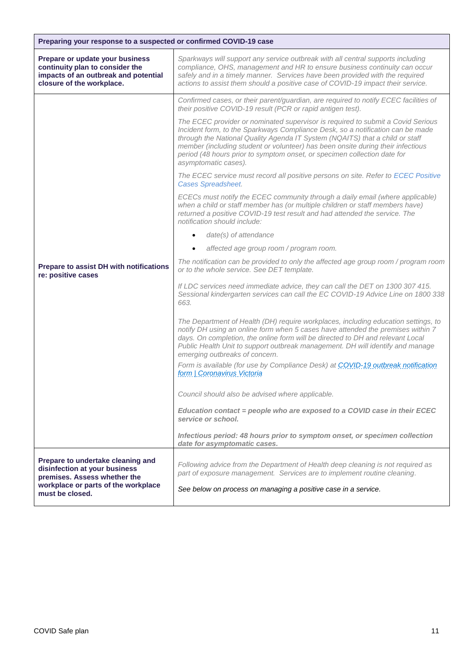| Preparing your response to a suspected or confirmed COVID-19 case                                                                                            |                                                                                                                                                                                                                                                                                                                                                                                                                                          |
|--------------------------------------------------------------------------------------------------------------------------------------------------------------|------------------------------------------------------------------------------------------------------------------------------------------------------------------------------------------------------------------------------------------------------------------------------------------------------------------------------------------------------------------------------------------------------------------------------------------|
| Prepare or update your business<br>continuity plan to consider the<br>impacts of an outbreak and potential<br>closure of the workplace.                      | Sparkways will support any service outbreak with all central supports including<br>compliance, OHS, management and HR to ensure business continuity can occur<br>safely and in a timely manner. Services have been provided with the required<br>actions to assist them should a positive case of COVID-19 impact their service.                                                                                                         |
|                                                                                                                                                              | Confirmed cases, or their parent/guardian, are required to notify ECEC facilities of<br>their positive COVID-19 result (PCR or rapid antigen test).                                                                                                                                                                                                                                                                                      |
|                                                                                                                                                              | The ECEC provider or nominated supervisor is required to submit a Covid Serious<br>Incident form, to the Sparkways Compliance Desk, so a notification can be made<br>through the National Quality Agenda IT System (NQAITS) that a child or staff<br>member (including student or volunteer) has been onsite during their infectious<br>period (48 hours prior to symptom onset, or specimen collection date for<br>asymptomatic cases). |
|                                                                                                                                                              | The ECEC service must record all positive persons on site. Refer to ECEC Positive<br><b>Cases Spreadsheet.</b>                                                                                                                                                                                                                                                                                                                           |
|                                                                                                                                                              | ECECs must notify the ECEC community through a daily email (where applicable)<br>when a child or staff member has (or multiple children or staff members have)<br>returned a positive COVID-19 test result and had attended the service. The<br>notification should include:                                                                                                                                                             |
|                                                                                                                                                              | $date(s)$ of attendance<br>$\bullet$                                                                                                                                                                                                                                                                                                                                                                                                     |
|                                                                                                                                                              | affected age group room / program room.                                                                                                                                                                                                                                                                                                                                                                                                  |
| Prepare to assist DH with notifications<br>re: positive cases                                                                                                | The notification can be provided to only the affected age group room / program room<br>or to the whole service. See DET template.                                                                                                                                                                                                                                                                                                        |
|                                                                                                                                                              | If LDC services need immediate advice, they can call the DET on 1300 307 415.<br>Sessional kindergarten services can call the EC COVID-19 Advice Line on 1800 338<br>663.                                                                                                                                                                                                                                                                |
|                                                                                                                                                              | The Department of Health (DH) require workplaces, including education settings, to<br>notify DH using an online form when 5 cases have attended the premises within 7<br>days. On completion, the online form will be directed to DH and relevant Local<br>Public Health Unit to support outbreak management. DH will identify and manage<br>emerging outbreaks of concern.                                                              |
|                                                                                                                                                              | Form is available (for use by Compliance Desk) at COVID-19 outbreak notification<br>form   Coronavirus Victoria                                                                                                                                                                                                                                                                                                                          |
|                                                                                                                                                              | Council should also be advised where applicable.                                                                                                                                                                                                                                                                                                                                                                                         |
|                                                                                                                                                              | Education contact = people who are exposed to a COVID case in their ECEC<br>service or school.                                                                                                                                                                                                                                                                                                                                           |
|                                                                                                                                                              | Infectious period: 48 hours prior to symptom onset, or specimen collection<br>date for asymptomatic cases.                                                                                                                                                                                                                                                                                                                               |
| Prepare to undertake cleaning and<br>disinfection at your business<br>premises. Assess whether the<br>workplace or parts of the workplace<br>must be closed. | Following advice from the Department of Health deep cleaning is not required as<br>part of exposure management. Services are to implement routine cleaning.<br>See below on process on managing a positive case in a service.                                                                                                                                                                                                            |
|                                                                                                                                                              |                                                                                                                                                                                                                                                                                                                                                                                                                                          |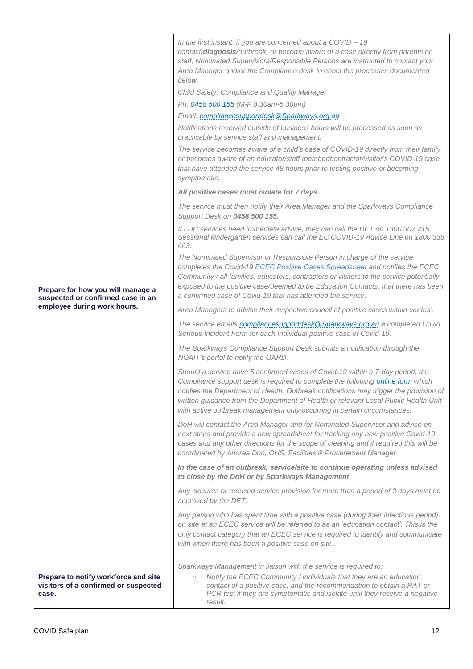| Prepare for how you will manage a<br>suspected or confirmed case in an<br>employee during work hours. | In the first instant, if you are concerned about a COVID - 19<br>contact/diagnosis/outbreak, or become aware of a case directly from parents or<br>staff, Nominated Supervisors/Responsible Persons are instructed to contact your<br>Area Manager and/or the Compliance desk to enact the processes documented<br>below.<br>Child Safety, Compliance and Quality Manager<br>Ph: 0458 500 155 (M-F 8.30am-5.30pm)<br>Email: compliancesupportdesk@Sparkways.org.au<br>Notifications received outside of business hours will be processed as soon as<br>practicable by service staff and management.<br>The service becomes aware of a child's case of COVID-19 directly from their family<br>or becomes aware of an educator/staff member/contractor/visitor's COVID-19 case<br>that have attended the service 48 hours prior to testing positive or becoming<br>symptomatic. |
|-------------------------------------------------------------------------------------------------------|-------------------------------------------------------------------------------------------------------------------------------------------------------------------------------------------------------------------------------------------------------------------------------------------------------------------------------------------------------------------------------------------------------------------------------------------------------------------------------------------------------------------------------------------------------------------------------------------------------------------------------------------------------------------------------------------------------------------------------------------------------------------------------------------------------------------------------------------------------------------------------|
|                                                                                                       | All positive cases must isolate for 7 days                                                                                                                                                                                                                                                                                                                                                                                                                                                                                                                                                                                                                                                                                                                                                                                                                                    |
|                                                                                                       | The service must then notify their Area Manager and the Sparkways Compliance<br>Support Desk on 0458 500 155.                                                                                                                                                                                                                                                                                                                                                                                                                                                                                                                                                                                                                                                                                                                                                                 |
|                                                                                                       | If LDC services need immediate advice, they can call the DET on 1300 307 415.<br>Sessional kindergarten services can call the EC COVID-19 Advice Line on 1800 338<br>663.                                                                                                                                                                                                                                                                                                                                                                                                                                                                                                                                                                                                                                                                                                     |
|                                                                                                       | The Nominated Supervisor or Responsible Person in charge of the service<br>completes the Covid-19 ECEC Positive Cases Spreadsheet and notifies the ECEC<br>Community / all families, educators, contractors or visitors to the service potentially<br>exposed to the positive case/deemed to be Education Contacts, that there has been<br>a confirmed case of Covid-19 that has attended the service.                                                                                                                                                                                                                                                                                                                                                                                                                                                                        |
|                                                                                                       | Area Managers to advise their respective council of positive cases within centes'.                                                                                                                                                                                                                                                                                                                                                                                                                                                                                                                                                                                                                                                                                                                                                                                            |
|                                                                                                       | The service emails compliancesupportdesk@Sparkways.org.au a completed Covid<br>Serious Incident Form for each individual positive case of Covid-19.                                                                                                                                                                                                                                                                                                                                                                                                                                                                                                                                                                                                                                                                                                                           |
|                                                                                                       | The Sparkways Compliance Support Desk submits a notification through the<br>NQAIT's portal to notify the QARD.                                                                                                                                                                                                                                                                                                                                                                                                                                                                                                                                                                                                                                                                                                                                                                |
|                                                                                                       | Should a service have 5 confirmed cases of Covid-19 within a 7-day period, the<br>Compliance support desk is required to complete the following online form which<br>notifies the Department of Health. Outbreak notifications may trigger the provision of<br>written guidance from the Department of Health or relevant Local Public Health Unit<br>with active outbreak management only occurring in certain circumstances.                                                                                                                                                                                                                                                                                                                                                                                                                                                |
|                                                                                                       | DoH will contact the Area Manager and /or Nominated Supervisor and advise on<br>next steps and provide a new spreadsheet for tracking any new positive Covid-19<br>cases and any other directions for the scope of cleaning and if required this will be<br>coordinated by Andrea Don, OHS, Facilities & Procurement Manager.                                                                                                                                                                                                                                                                                                                                                                                                                                                                                                                                                 |
|                                                                                                       | In the case of an outbreak, service/site to continue operating unless advised<br>to close by the DoH or by Sparkways Management                                                                                                                                                                                                                                                                                                                                                                                                                                                                                                                                                                                                                                                                                                                                               |
|                                                                                                       | Any closures or reduced service provision for more than a period of 3 days must be<br>approved by the DET.                                                                                                                                                                                                                                                                                                                                                                                                                                                                                                                                                                                                                                                                                                                                                                    |
|                                                                                                       | Any person who has spent time with a positive case (during their infectious period)<br>on site at an ECEC service will be referred to as an 'education contact'. This is the<br>only contact category that an ECEC service is required to identify and communicate<br>with when there has been a positive case on site.                                                                                                                                                                                                                                                                                                                                                                                                                                                                                                                                                       |
|                                                                                                       | Sparkways Management in liaison with the service is required to:                                                                                                                                                                                                                                                                                                                                                                                                                                                                                                                                                                                                                                                                                                                                                                                                              |
| Prepare to notify workforce and site<br>visitors of a confirmed or suspected<br>case.                 | Notify the ECEC Community / individuals that they are an education<br>$\circ$<br>contact of a positive case, and the recommendation to obtain a RAT or<br>PCR test if they are symptomatic and isolate until they receive a negative<br>result.                                                                                                                                                                                                                                                                                                                                                                                                                                                                                                                                                                                                                               |